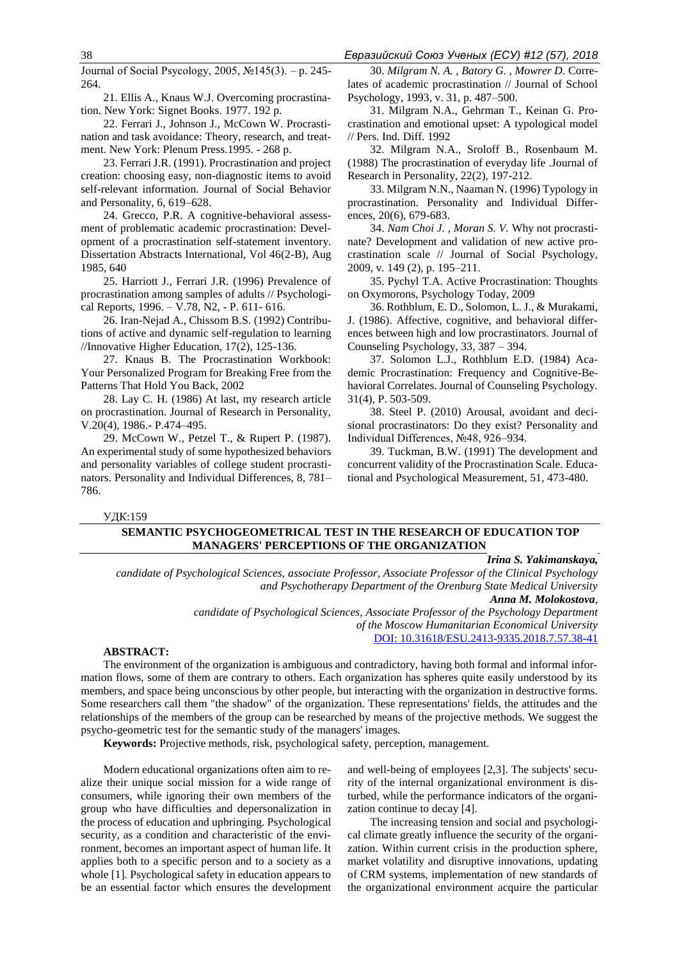Journal of Social Psycology, 2005, №145(3). – p. 245- 264.

21. Ellis A., Knaus W.J. Overcoming procrastination. New York: Signet Books. 1977. 192 p.

22. Ferrari J., Johnson J., McCown W. Procrastination and task avoidance: Theory, research, and treatment. New York: Plenum Press.1995. - 268 p.

23. Ferrari J.R. (1991). Procrastination and project creation: choosing easy, non-diagnostic items to avoid self-relevant information. Journal of Social Behavior and Personality, 6, 619–628.

24. Grecco, P.R. A cognitive-behavioral assessment of problematic academic procrastination: Development of a procrastination self-statement inventory. Dissertation Abstracts International, Vol 46(2-B), Aug 1985, 640

25. Harriott J., Ferrari J.R. (1996) Prevalence of procrastination among samples of adults // Psychological Reports, 1996. – V.78, N2, - P. 611- 616.

26. Iran-Nejad A., Chissom B.S. (1992) Contributions of active and dynamic self-regulation to learning //Innovative Higher Education, 17(2), 125-136.

27. Knaus B. The Procrastination Workbook: Your Personalized Program for Breaking Free from the Patterns That Hold You Back, 2002

28. Lay C. H. (1986) At last, my research article on procrastination. Journal of Research in Personality, V.20(4), 1986.- P.474–495.

29. McCown W., Petzel T., & Rupert P. (1987). An experimental study of some hypothesized behaviors and personality variables of college student procrastinators. Personality and Individual Differences, 8, 781– 786.

30. *Milgram N. A. , Batory G. , Mowrer D.* Correlates of academic procrastination // Journal of School Psychology, 1993, v. 31, p. 487–500.

31. Milgram N.A., Gehrman T., Keinan G. Procrastination and emotional upset: A typological model // Pers. Ind. Diff. 1992

32. Milgram N.A., Sroloff B., Rosenbaum M. (1988) The procrastination of everyday life .Journal of Research in Personality, 22(2), 197-212.

33. Milgram N.N., Naaman N. (1996) Typology in procrastination. Personality and Individual Differences, 20(6), 679-683.

34. *Nam Choi J. , Moran S. V.* Why not procrastinate? Development and validation of new active procrastination scale // Journal of Social Psychology, 2009, v. 149 (2), p. 195–211.

35. Pychyl T.A. Active Procrastination: Thoughts on Oxymorons, Psychology Today, 2009

36. Rothblum, E. D., Solomon, L. J., & Murakami, J. (1986). Affective, cognitive, and behavioral differences between high and low procrastinators. Journal of Counseling Psychology, 33, 387 – 394.

37. Solomon L.J., Rothblum E.D. (1984) Academic Procrastination: Frequency and Cognitive-Behavioral Correlates. Journal of Counseling Psychology. 31(4), P. 503-509.

38. Steel P. (2010) Arousal, avoidant and decisional procrastinators: Do they exist? Personality and Individual Differences, №48, 926–934.

39. Tuckman, B.W. (1991) The development and concurrent validity of the Procrastination Scale. Educational and Psychological Measurement, 51, 473-480.

УДК:159

# **SEMANTIC PSYCHOGEOMETRICAL TEST IN THE RESEARCH OF EDUCATION TOP MANAGERS' PERCEPTIONS OF THE ORGANIZATION**

*Irina S. Yakimanskaya,*

*candidate of Psychological Sciences, associate Professor, Associate Professor of the Clinical Psychology and Psychotherapy Department of the Orenburg State Medical University Anna M. Molokostova,*

*candidate of Psychological Sciences, Associate Professor of the Psychology Department of the Moscow Humanitarian Economical University* [DOI: 10.31618/ESU.2413-9335.2018.7.57.38-41](https://www.doi.org/10.31618/ESU.2413-9335.2018.7.57.38-41)

#### **ABSTRACT:**

The environment of the organization is ambiguous and contradictory, having both formal and informal information flows, some of them are contrary to others. Each organization has spheres quite easily understood by its members, and space being unconscious by other people, but interacting with the organization in destructive forms. Some researchers call them "the shadow" of the organization. These representations' fields, the attitudes and the relationships of the members of the group can be researched by means of the projective methods. We suggest the psycho-geometric test for the semantic study of the managers' images.

**Keywords:** Projective methods, risk, psychological safety, perception, management.

Modern educational organizations often aim to realize their unique social mission for a wide range of consumers, while ignoring their own members of the group who have difficulties and depersonalization in the process of education and upbringing. Psychological security, as a condition and characteristic of the environment, becomes an important aspect of human life. It applies both to a specific person and to a society as a whole [1]. Psychological safety in education appears to be an essential factor which ensures the development and well-being of employees [2,3]. The subjects' security of the internal organizational environment is disturbed, while the performance indicators of the organization continue to decay [4].

The increasing tension and social and psychological climate greatly influence the security of the organization. Within current crisis in the production sphere, market volatility and disruptive innovations, updating of CRM systems, implementation of new standards of the organizational environment acquire the particular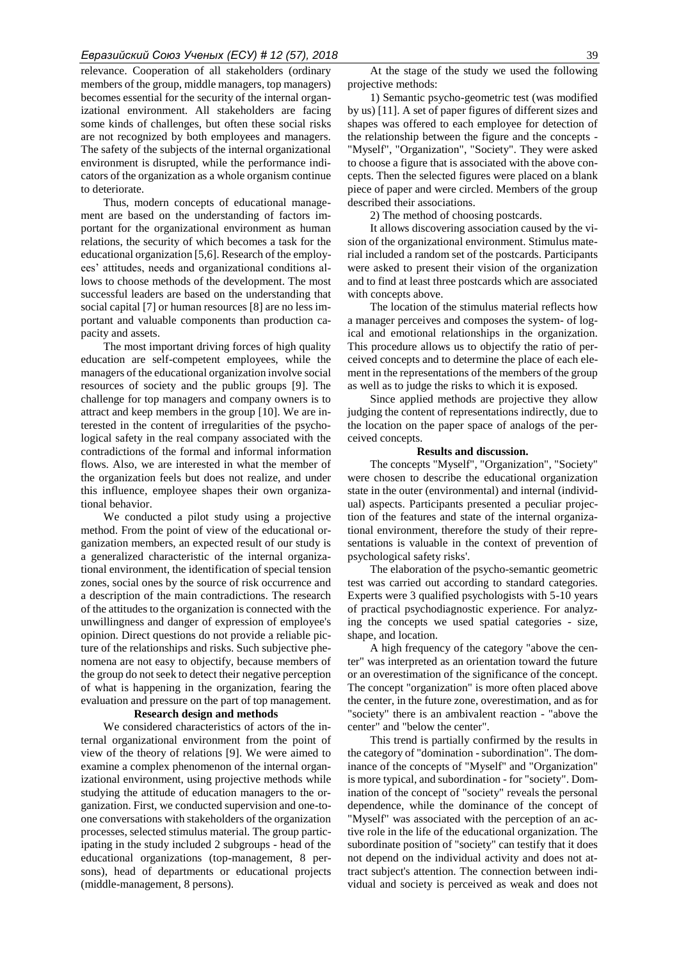## *Евразийский Союз Ученых (ЕСУ) # 12 (57), 2018* 39

relevance. Cooperation of all stakeholders (ordinary members of the group, middle managers, top managers) becomes essential for the security of the internal organizational environment. All stakeholders are facing some kinds of challenges, but often these social risks are not recognized by both employees and managers. The safety of the subjects of the internal organizational environment is disrupted, while the performance indicators of the organization as a whole organism continue to deteriorate.

Thus, modern concepts of educational management are based on the understanding of factors important for the organizational environment as human relations, the security of which becomes a task for the educational organization [5,6]. Research of the employees' attitudes, needs and organizational conditions allows to choose methods of the development. The most successful leaders are based on the understanding that social capital [7] or human resources [8] are no less important and valuable components than production capacity and assets.

The most important driving forces of high quality education are self-competent employees, while the managers of the educational organization involve social resources of society and the public groups [9]. The challenge for top managers and company owners is to attract and keep members in the group [10]. We are interested in the content of irregularities of the psychological safety in the real company associated with the contradictions of the formal and informal information flows. Also, we are interested in what the member of the organization feels but does not realize, and under this influence, employee shapes their own organizational behavior.

We conducted a pilot study using a projective method. From the point of view of the educational organization members, an expected result of our study is a generalized characteristic of the internal organizational environment, the identification of special tension zones, social ones by the source of risk occurrence and a description of the main contradictions. The research of the attitudes to the organization is connected with the unwillingness and danger of expression of employee's opinion. Direct questions do not provide a reliable picture of the relationships and risks. Such subjective phenomena are not easy to objectify, because members of the group do not seek to detect their negative perception of what is happening in the organization, fearing the evaluation and pressure on the part of top management.

## **Research design and methods**

We considered characteristics of actors of the internal organizational environment from the point of view of the theory of relations [9]. We were aimed to examine a complex phenomenon of the internal organizational environment, using projective methods while studying the attitude of education managers to the organization. First, we conducted supervision and one-toone conversations with stakeholders of the organization processes, selected stimulus material. The group participating in the study included 2 subgroups - head of the educational organizations (top-management, 8 persons), head of departments or educational projects (middle-management, 8 persons).

At the stage of the study we used the following projective methods:

1) Semantic psycho-geometric test (was modified by us) [11]. A set of paper figures of different sizes and shapes was offered to each employee for detection of the relationship between the figure and the concepts - "Myself", "Organization", "Society". They were asked to choose a figure that is associated with the above concepts. Then the selected figures were placed on a blank piece of paper and were circled. Members of the group described their associations.

2) The method of choosing postcards.

It allows discovering association caused by the vision of the organizational environment. Stimulus material included a random set of the postcards. Participants were asked to present their vision of the organization and to find at least three postcards which are associated with concepts above.

The location of the stimulus material reflects how a manager perceives and composes the system- of logical and emotional relationships in the organization. This procedure allows us to objectify the ratio of perceived concepts and to determine the place of each element in the representations of the members of the group as well as to judge the risks to which it is exposed.

Since applied methods are projective they allow judging the content of representations indirectly, due to the location on the paper space of analogs of the perceived concepts.

#### **Results and discussion.**

The concepts "Myself", "Organization", "Society" were chosen to describe the educational organization state in the outer (environmental) and internal (individual) aspects. Participants presented a peculiar projection of the features and state of the internal organizational environment, therefore the study of their representations is valuable in the context of prevention of psychological safety risks'.

The elaboration of the psycho-semantic geometric test was carried out according to standard categories. Experts were 3 qualified psychologists with 5-10 years of practical psychodiagnostic experience. For analyzing the concepts we used spatial categories - size, shape, and location.

A high frequency of the category "above the center" was interpreted as an orientation toward the future or an overestimation of the significance of the concept. The concept "organization" is more often placed above the center, in the future zone, overestimation, and as for "society" there is an ambivalent reaction - "above the center" and "below the center".

This trend is partially confirmed by the results in the category of "domination - subordination". The dominance of the concepts of "Myself" and "Organization" is more typical, and subordination - for "society". Domination of the concept of "society" reveals the personal dependence, while the dominance of the concept of "Myself" was associated with the perception of an active role in the life of the educational organization. The subordinate position of "society" can testify that it does not depend on the individual activity and does not attract subject's attention. The connection between individual and society is perceived as weak and does not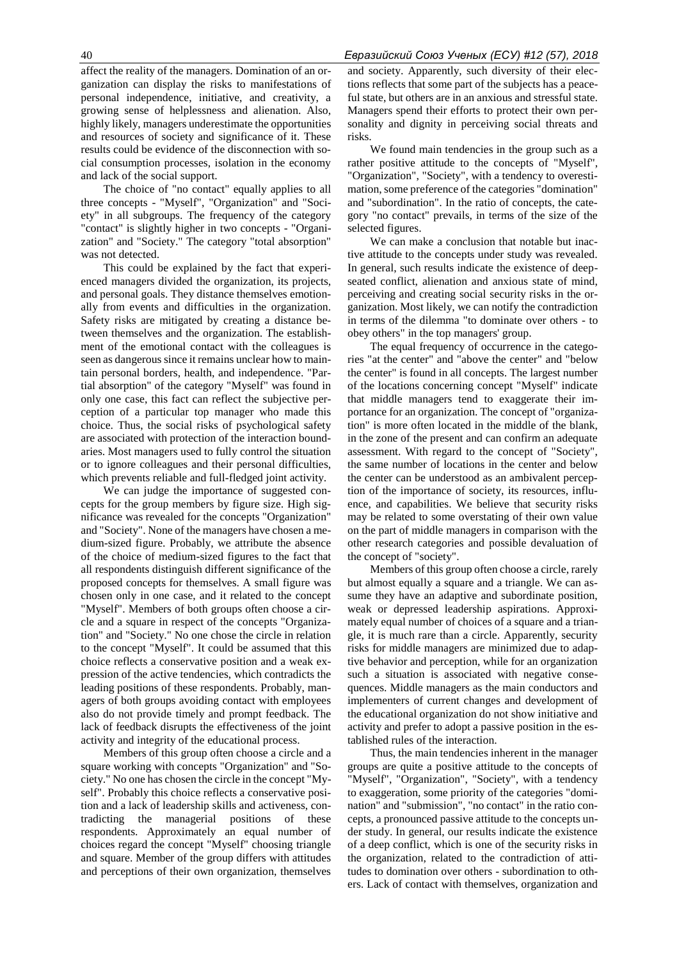affect the reality of the managers. Domination of an organization can display the risks to manifestations of personal independence, initiative, and creativity, a growing sense of helplessness and alienation. Also, highly likely, managers underestimate the opportunities and resources of society and significance of it. These results could be evidence of the disconnection with social consumption processes, isolation in the economy and lack of the social support.

The choice of "no contact" equally applies to all three concepts - "Myself", "Organization" and "Society" in all subgroups. The frequency of the category "contact" is slightly higher in two concepts - "Organization" and "Society." The category "total absorption" was not detected.

This could be explained by the fact that experienced managers divided the organization, its projects, and personal goals. They distance themselves emotionally from events and difficulties in the organization. Safety risks are mitigated by creating a distance between themselves and the organization. The establishment of the emotional contact with the colleagues is seen as dangerous since it remains unclear how to maintain personal borders, health, and independence. "Partial absorption" of the category "Myself" was found in only one case, this fact can reflect the subjective perception of a particular top manager who made this choice. Thus, the social risks of psychological safety are associated with protection of the interaction boundaries. Most managers used to fully control the situation or to ignore colleagues and their personal difficulties, which prevents reliable and full-fledged joint activity.

We can judge the importance of suggested concepts for the group members by figure size. High significance was revealed for the concepts "Organization" and "Society". None of the managers have chosen a medium-sized figure. Probably, we attribute the absence of the choice of medium-sized figures to the fact that all respondents distinguish different significance of the proposed concepts for themselves. A small figure was chosen only in one case, and it related to the concept "Myself". Members of both groups often choose a circle and a square in respect of the concepts "Organization" and "Society." No one chose the circle in relation to the concept "Myself". It could be assumed that this choice reflects a conservative position and a weak expression of the active tendencies, which contradicts the leading positions of these respondents. Probably, managers of both groups avoiding contact with employees also do not provide timely and prompt feedback. The lack of feedback disrupts the effectiveness of the joint activity and integrity of the educational process.

Members of this group often choose a circle and a square working with concepts "Organization" and "Society." No one has chosen the circle in the concept "Myself". Probably this choice reflects a conservative position and a lack of leadership skills and activeness, contradicting the managerial positions of these respondents. Approximately an equal number of choices regard the concept "Myself" choosing triangle and square. Member of the group differs with attitudes and perceptions of their own organization, themselves and society. Apparently, such diversity of their elections reflects that some part of the subjects has a peaceful state, but others are in an anxious and stressful state. Managers spend their efforts to protect their own personality and dignity in perceiving social threats and risks.

We found main tendencies in the group such as a rather positive attitude to the concepts of "Myself", "Organization", "Society", with a tendency to overestimation, some preference of the categories "domination" and "subordination". In the ratio of concepts, the category "no contact" prevails, in terms of the size of the selected figures.

We can make a conclusion that notable but inactive attitude to the concepts under study was revealed. In general, such results indicate the existence of deepseated conflict, alienation and anxious state of mind, perceiving and creating social security risks in the organization. Most likely, we can notify the contradiction in terms of the dilemma "to dominate over others - to obey others" in the top managers' group.

The equal frequency of occurrence in the categories "at the center" and "above the center" and "below the center" is found in all concepts. The largest number of the locations concerning concept "Myself" indicate that middle managers tend to exaggerate their importance for an organization. The concept of "organization" is more often located in the middle of the blank, in the zone of the present and can confirm an adequate assessment. With regard to the concept of "Society", the same number of locations in the center and below the center can be understood as an ambivalent perception of the importance of society, its resources, influence, and capabilities. We believe that security risks may be related to some overstating of their own value on the part of middle managers in comparison with the other research categories and possible devaluation of the concept of "society".

Members of this group often choose a circle, rarely but almost equally a square and a triangle. We can assume they have an adaptive and subordinate position, weak or depressed leadership aspirations. Approximately equal number of choices of a square and a triangle, it is much rare than a circle. Apparently, security risks for middle managers are minimized due to adaptive behavior and perception, while for an organization such a situation is associated with negative consequences. Middle managers as the main conductors and implementers of current changes and development of the educational organization do not show initiative and activity and prefer to adopt a passive position in the established rules of the interaction.

Thus, the main tendencies inherent in the manager groups are quite a positive attitude to the concepts of "Myself", "Organization", "Society", with a tendency to exaggeration, some priority of the categories "domination" and "submission", "no contact" in the ratio concepts, a pronounced passive attitude to the concepts under study. In general, our results indicate the existence of a deep conflict, which is one of the security risks in the organization, related to the contradiction of attitudes to domination over others - subordination to others. Lack of contact with themselves, organization and